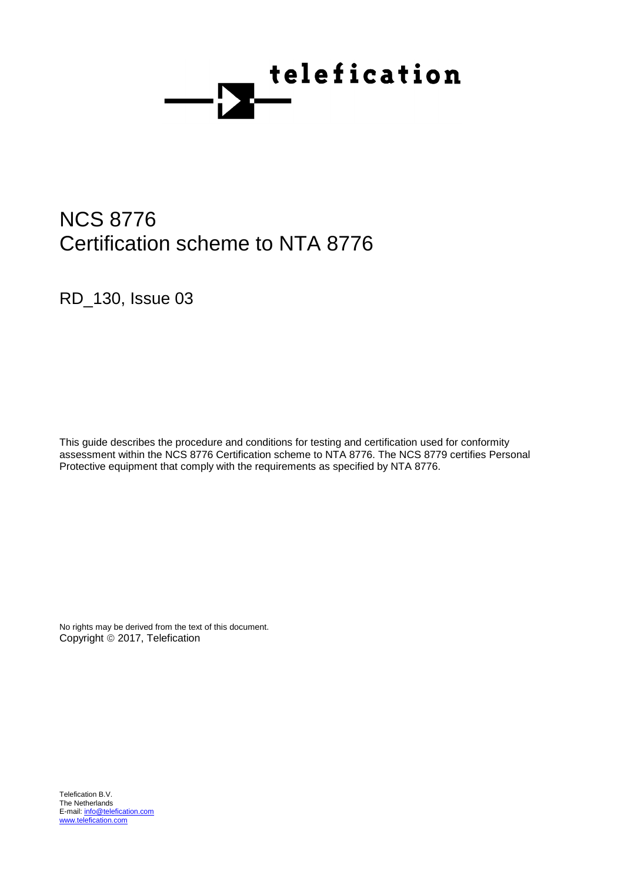

# NCS 8776 Certification scheme to NTA 8776

RD\_130, Issue 03

This guide describes the procedure and conditions for testing and certification used for conformity assessment within the NCS 8776 Certification scheme to NTA 8776. The NCS 8779 certifies Personal Protective equipment that comply with the requirements as specified by NTA 8776.

No rights may be derived from the text of this document. Copyright © 2017, Telefication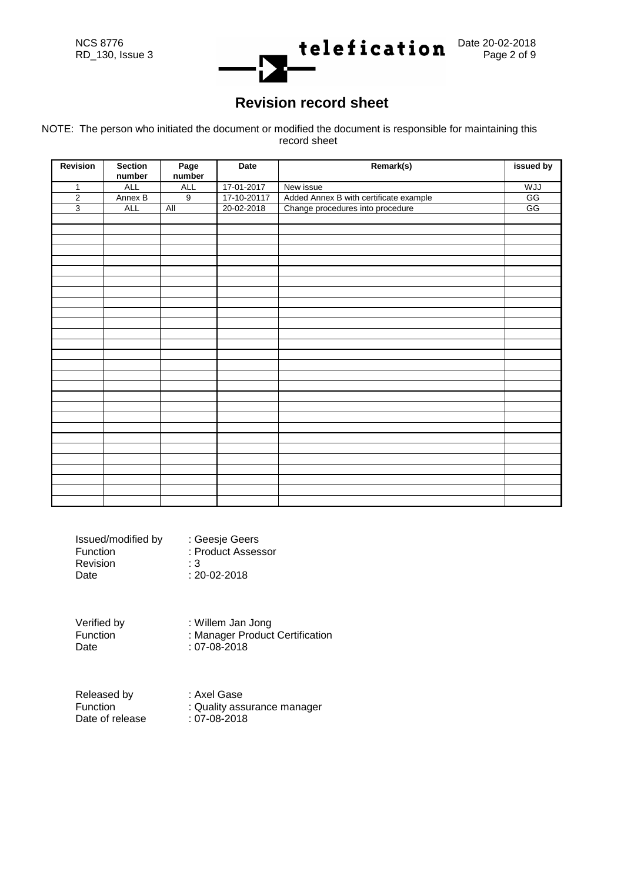

### **Revision record sheet**

NOTE: The person who initiated the document or modified the document is responsible for maintaining this record sheet

| <b>Revision</b> | <b>Section</b><br>number | Page<br>number | Date        | Remark(s)                              | issued by  |
|-----------------|--------------------------|----------------|-------------|----------------------------------------|------------|
| $\mathbf{1}$    | ALL                      | <b>ALL</b>     | 17-01-2017  | New issue                              | <b>WJJ</b> |
| $\overline{2}$  | Annex B                  | 9              | 17-10-20117 | Added Annex B with certificate example | G          |
| $\overline{3}$  | <b>ALL</b>               | <b>All</b>     | 20-02-2018  | Change procedures into procedure       | GG         |
|                 |                          |                |             |                                        |            |
|                 |                          |                |             |                                        |            |
|                 |                          |                |             |                                        |            |
|                 |                          |                |             |                                        |            |
|                 |                          |                |             |                                        |            |
|                 |                          |                |             |                                        |            |
|                 |                          |                |             |                                        |            |
|                 |                          |                |             |                                        |            |
|                 |                          |                |             |                                        |            |
|                 |                          |                |             |                                        |            |
|                 |                          |                |             |                                        |            |
|                 |                          |                |             |                                        |            |
|                 |                          |                |             |                                        |            |
|                 |                          |                |             |                                        |            |
|                 |                          |                |             |                                        |            |
|                 |                          |                |             |                                        |            |
|                 |                          |                |             |                                        |            |
|                 |                          |                |             |                                        |            |
|                 |                          |                |             |                                        |            |
|                 |                          |                |             |                                        |            |
|                 |                          |                |             |                                        |            |
|                 |                          |                |             |                                        |            |
|                 |                          |                |             |                                        |            |
|                 |                          |                |             |                                        |            |
|                 |                          |                |             |                                        |            |
|                 |                          |                |             |                                        |            |
|                 |                          |                |             |                                        |            |
|                 |                          |                |             |                                        |            |

| Issued/modified by | : Geesje Geers     |
|--------------------|--------------------|
| Function           | : Product Assessor |
| Revision           | : 3                |
| Date               | $: 20 - 02 - 2018$ |

Verified by : Willem Jan Jong<br>Function : Manager Product Function : Manager Product Certification<br>Date : 07-08-2018  $: 07 - 08 - 2018$ 

Released by : Axel Gase<br>Function : Quality ass Date of release

: Quality assurance manager<br>: 07-08-2018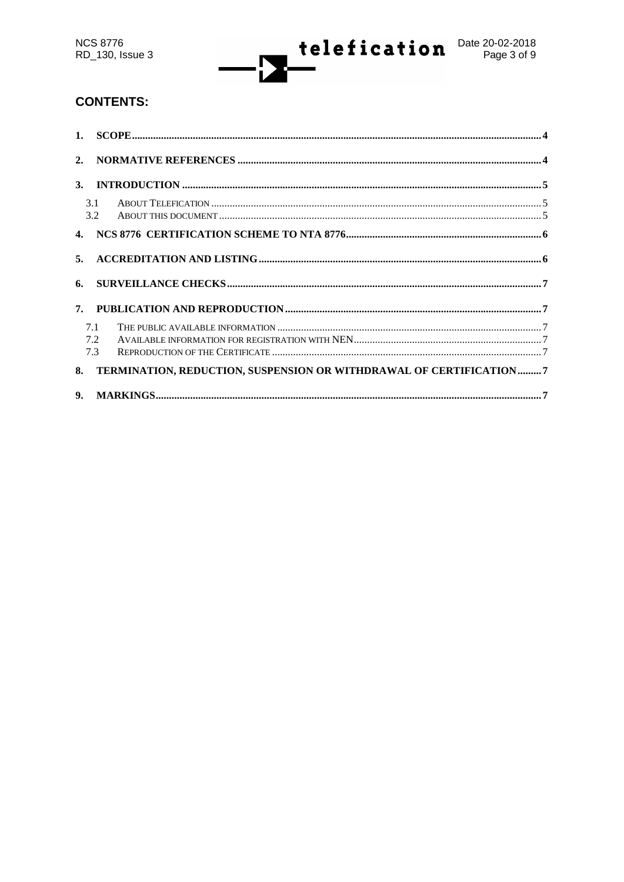### **CONTENTS:**

|    | 3.1<br>3.2                                                         |  |
|----|--------------------------------------------------------------------|--|
|    |                                                                    |  |
| 5. |                                                                    |  |
| 6. |                                                                    |  |
|    |                                                                    |  |
|    | 7.1<br>7.2<br>7.3                                                  |  |
| 8. | TERMINATION, REDUCTION, SUSPENSION OR WITHDRAWAL OF CERTIFICATION7 |  |
|    |                                                                    |  |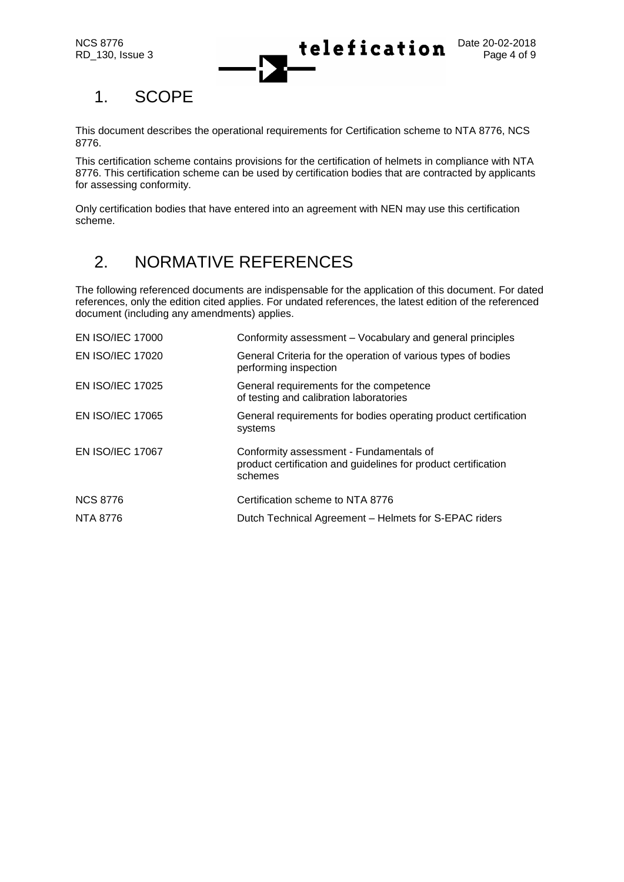## <span id="page-3-0"></span>1. SCOPE

This document describes the operational requirements for Certification scheme to NTA 8776, NCS 8776.

This certification scheme contains provisions for the certification of helmets in compliance with NTA 8776. This certification scheme can be used by certification bodies that are contracted by applicants for assessing conformity.

Only certification bodies that have entered into an agreement with NEN may use this certification scheme.

## <span id="page-3-1"></span>2. NORMATIVE REFERENCES

The following referenced documents are indispensable for the application of this document. For dated references, only the edition cited applies. For undated references, the latest edition of the referenced document (including any amendments) applies.

| <b>EN ISO/IEC 17000</b> | Conformity assessment – Vocabulary and general principles                                                            |
|-------------------------|----------------------------------------------------------------------------------------------------------------------|
| <b>EN ISO/IEC 17020</b> | General Criteria for the operation of various types of bodies<br>performing inspection                               |
| <b>EN ISO/IEC 17025</b> | General requirements for the competence<br>of testing and calibration laboratories                                   |
| <b>EN ISO/IEC 17065</b> | General requirements for bodies operating product certification<br>systems                                           |
| <b>EN ISO/IEC 17067</b> | Conformity assessment - Fundamentals of<br>product certification and guidelines for product certification<br>schemes |
| <b>NCS 8776</b>         | Certification scheme to NTA 8776                                                                                     |
| NTA 8776                | Dutch Technical Agreement - Helmets for S-EPAC riders                                                                |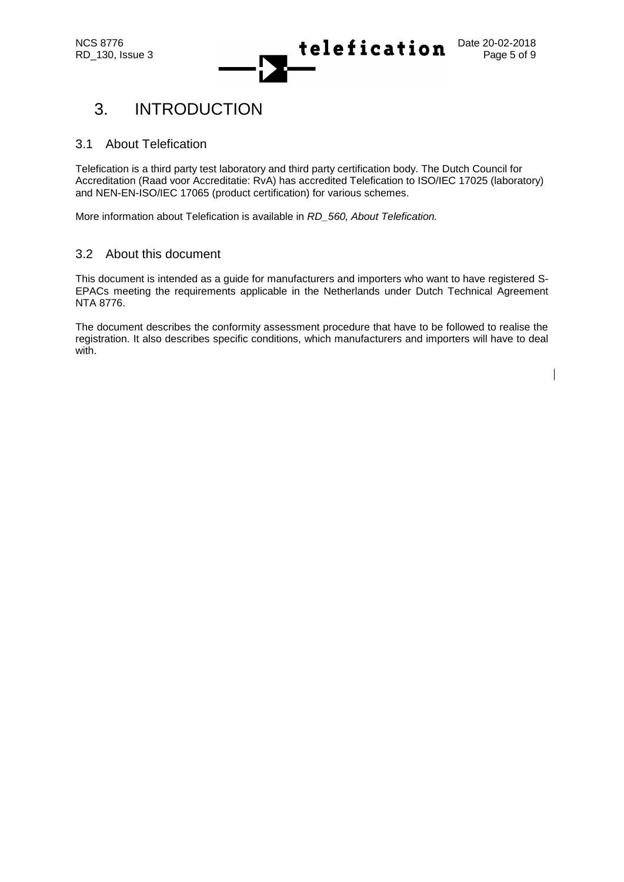## <span id="page-4-0"></span>3. INTRODUCTION

#### <span id="page-4-1"></span>3.1 About Telefication

Telefication is a third party test laboratory and third party certification body. The Dutch Council for Accreditation (Raad voor Accreditatie: RvA) has accredited Telefication to ISO/IEC 17025 (laboratory) and NEN-EN-ISO/IEC 17065 (product certification) for various schemes.

More information about Telefication is available in *RD\_560, About Telefication.*

#### <span id="page-4-2"></span>3.2 About this document

This document is intended as a guide for manufacturers and importers who want to have registered S-EPACs meeting the requirements applicable in the Netherlands under Dutch Technical Agreement NTA 8776.

The document describes the conformity assessment procedure that have to be followed to realise the registration. It also describes specific conditions, which manufacturers and importers will have to deal with.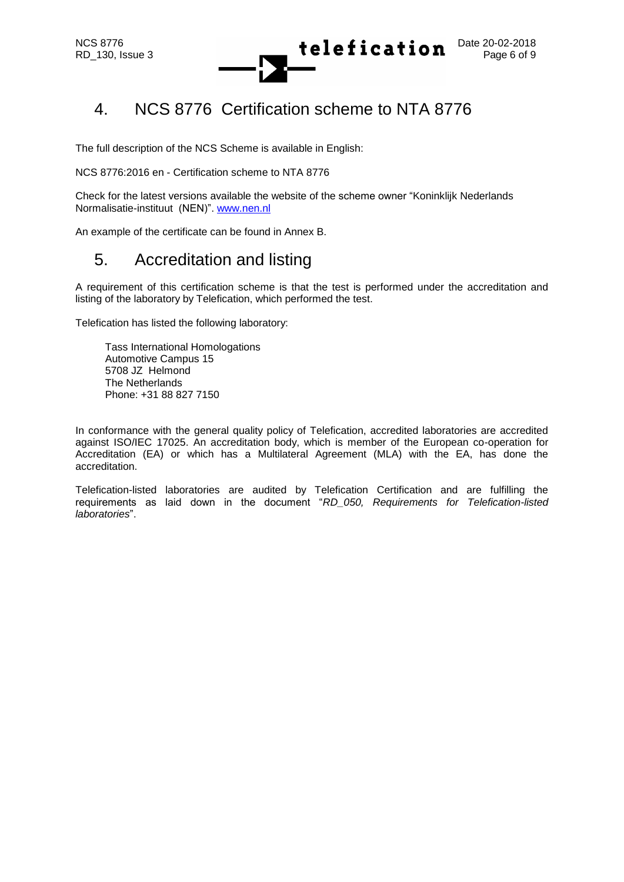

## <span id="page-5-0"></span>4. NCS 8776 Certification scheme to NTA 8776

The full description of the NCS Scheme is available in English:

NCS 8776:2016 en - Certification scheme to NTA 8776

Check for the latest versions available the website of the scheme owner "Koninklijk Nederlands Normalisatie-instituut (NEN)". [www.nen.nl](http://www.nen.nl/)

An example of the certificate can be found in Annex B.

### <span id="page-5-1"></span>5. Accreditation and listing

A requirement of this certification scheme is that the test is performed under the accreditation and listing of the laboratory by Telefication, which performed the test.

Telefication has listed the following laboratory:

Tass International Homologations Automotive Campus 15 5708 JZ Helmond The Netherlands Phone: +31 88 827 7150

In conformance with the general quality policy of Telefication, accredited laboratories are accredited against ISO/IEC 17025. An accreditation body, which is member of the European co-operation for Accreditation (EA) or which has a Multilateral Agreement (MLA) with the EA, has done the accreditation.

Telefication-listed laboratories are audited by Telefication Certification and are fulfilling the requirements as laid down in the document "*RD\_050, Requirements for Telefication-listed laboratories*".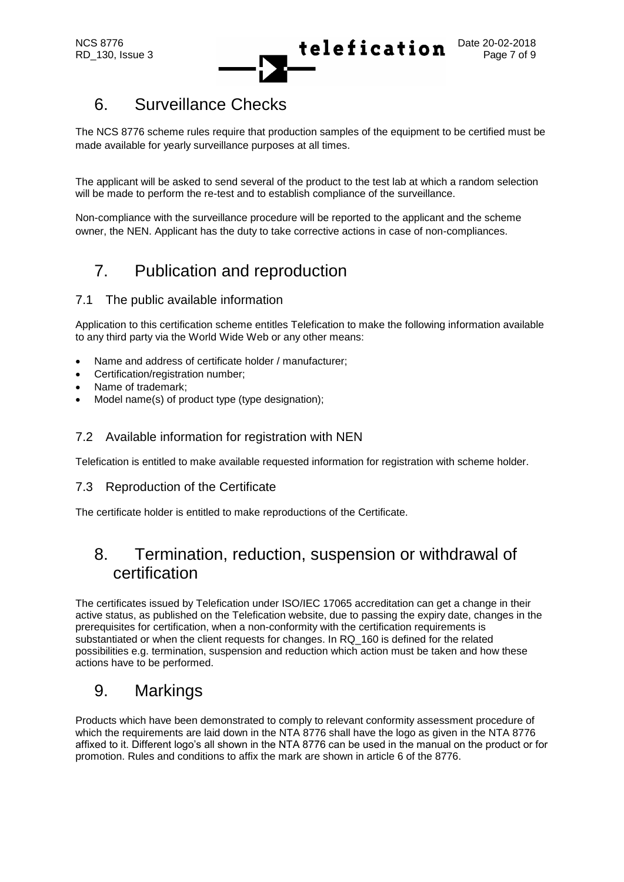

## <span id="page-6-0"></span>6. Surveillance Checks

The NCS 8776 scheme rules require that production samples of the equipment to be certified must be made available for yearly surveillance purposes at all times.

The applicant will be asked to send several of the product to the test lab at which a random selection will be made to perform the re-test and to establish compliance of the surveillance.

Non-compliance with the surveillance procedure will be reported to the applicant and the scheme owner, the NEN. Applicant has the duty to take corrective actions in case of non-compliances.

# <span id="page-6-1"></span>7. Publication and reproduction

### <span id="page-6-2"></span>7.1 The public available information

Application to this certification scheme entitles Telefication to make the following information available to any third party via the World Wide Web or any other means:

- Name and address of certificate holder / manufacturer;
- Certification/registration number:
- Name of trademark;
- Model name(s) of product type (type designation);

#### <span id="page-6-3"></span>7.2 Available information for registration with NEN

Telefication is entitled to make available requested information for registration with scheme holder.

#### <span id="page-6-4"></span>7.3 Reproduction of the Certificate

The certificate holder is entitled to make reproductions of the Certificate.

## <span id="page-6-5"></span>8. Termination, reduction, suspension or withdrawal of certification

The certificates issued by Telefication under ISO/IEC 17065 accreditation can get a change in their active status, as published on the Telefication website, due to passing the expiry date, changes in the prerequisites for certification, when a non-conformity with the certification requirements is substantiated or when the client requests for changes. In RQ\_160 is defined for the related possibilities e.g. termination, suspension and reduction which action must be taken and how these actions have to be performed.

## <span id="page-6-6"></span>9. Markings

Products which have been demonstrated to comply to relevant conformity assessment procedure of which the requirements are laid down in the NTA 8776 shall have the logo as given in the NTA 8776 affixed to it. Different logo's all shown in the NTA 8776 can be used in the manual on the product or for promotion. Rules and conditions to affix the mark are shown in article 6 of the 8776.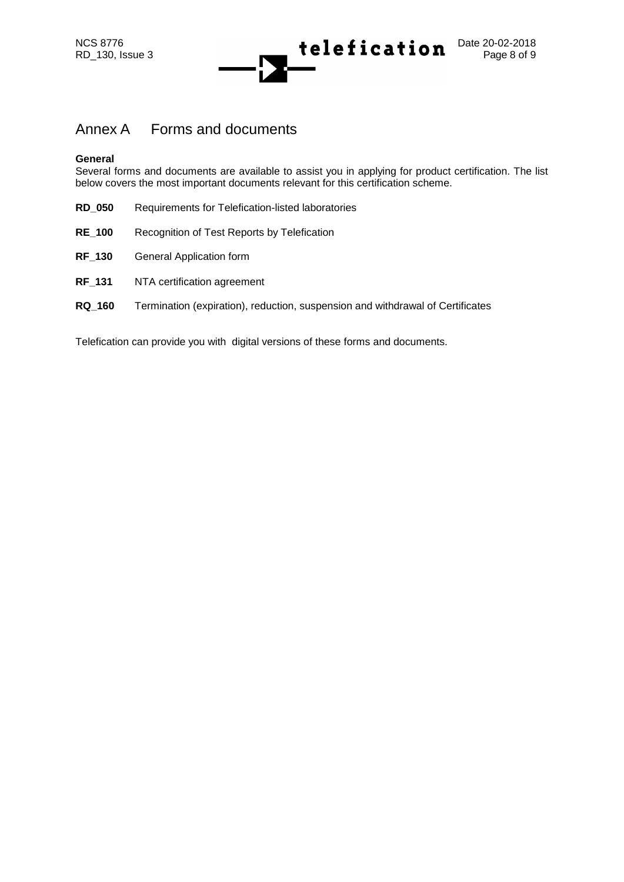

### Annex A Forms and documents

#### **General**

Several forms and documents are available to assist you in applying for product certification. The list below covers the most important documents relevant for this certification scheme.

- **RD\_050** Requirements for Telefication-listed laboratories
- **RE\_100** Recognition of Test Reports by Telefication
- **RF\_130** General Application form
- **RF\_131** NTA certification agreement
- **RQ\_160** Termination (expiration), reduction, suspension and withdrawal of Certificates

Telefication can provide you with digital versions of these forms and documents.